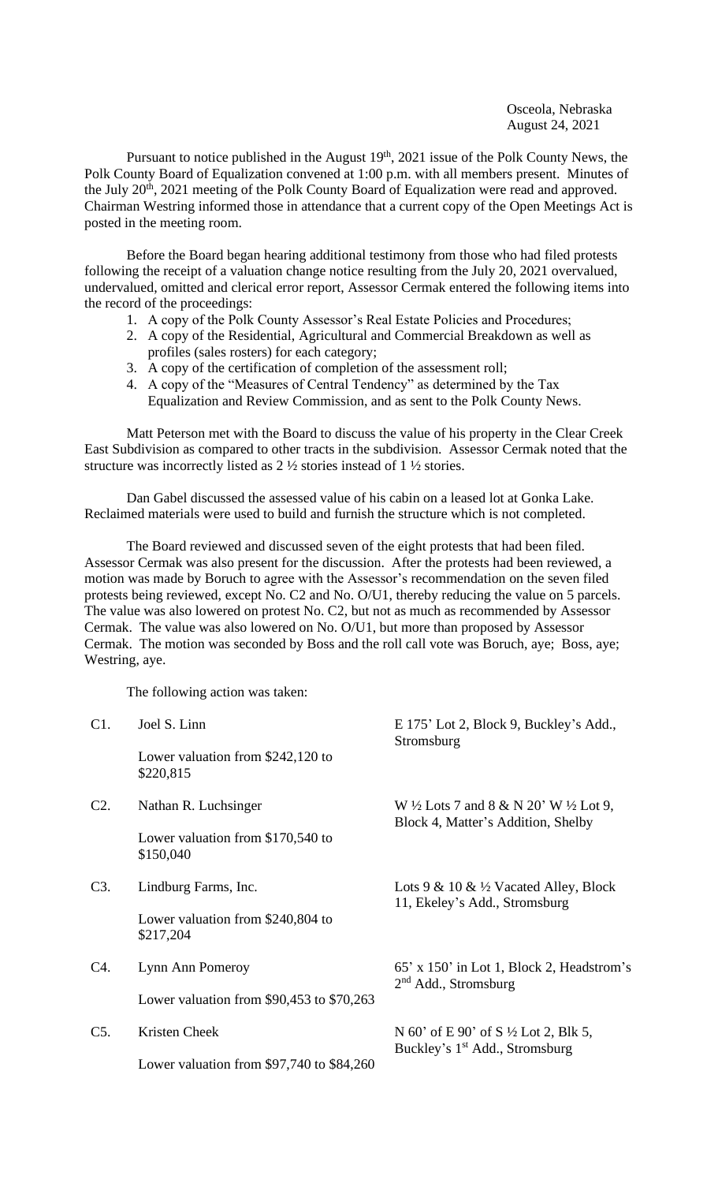Osceola, Nebraska August 24, 2021

Pursuant to notice published in the August 19<sup>th</sup>, 2021 issue of the Polk County News, the Polk County Board of Equalization convened at 1:00 p.m. with all members present. Minutes of the July  $20<sup>th</sup>$ ,  $2021$  meeting of the Polk County Board of Equalization were read and approved. Chairman Westring informed those in attendance that a current copy of the Open Meetings Act is posted in the meeting room.

Before the Board began hearing additional testimony from those who had filed protests following the receipt of a valuation change notice resulting from the July 20, 2021 overvalued, undervalued, omitted and clerical error report, Assessor Cermak entered the following items into the record of the proceedings:

- 1. A copy of the Polk County Assessor's Real Estate Policies and Procedures;
- 2. A copy of the Residential, Agricultural and Commercial Breakdown as well as profiles (sales rosters) for each category;
- 3. A copy of the certification of completion of the assessment roll;
- 4. A copy of the "Measures of Central Tendency" as determined by the Tax Equalization and Review Commission, and as sent to the Polk County News.

Matt Peterson met with the Board to discuss the value of his property in the Clear Creek East Subdivision as compared to other tracts in the subdivision. Assessor Cermak noted that the structure was incorrectly listed as 2 ½ stories instead of 1 ½ stories.

Dan Gabel discussed the assessed value of his cabin on a leased lot at Gonka Lake. Reclaimed materials were used to build and furnish the structure which is not completed.

The Board reviewed and discussed seven of the eight protests that had been filed. Assessor Cermak was also present for the discussion. After the protests had been reviewed, a motion was made by Boruch to agree with the Assessor's recommendation on the seven filed protests being reviewed, except No. C2 and No. O/U1, thereby reducing the value on 5 parcels. The value was also lowered on protest No. C2, but not as much as recommended by Assessor Cermak. The value was also lowered on No. O/U1, but more than proposed by Assessor Cermak. The motion was seconded by Boss and the roll call vote was Boruch, aye; Boss, aye; Westring, aye.

The following action was taken:

| C1.    | Joel S. Linn                                    | E 175' Lot 2, Block 9, Buckley's Add.,<br>Stromsburg                                              |
|--------|-------------------------------------------------|---------------------------------------------------------------------------------------------------|
|        | Lower valuation from $$242,120$ to<br>\$220,815 |                                                                                                   |
| $C2$ . | Nathan R. Luchsinger                            | W $\frac{1}{2}$ Lots 7 and 8 & N 20' W $\frac{1}{2}$ Lot 9,<br>Block 4, Matter's Addition, Shelby |
|        | Lower valuation from \$170,540 to<br>\$150,040  |                                                                                                   |
| C3.    | Lindburg Farms, Inc.                            | Lots $9 & 10 & 1/2$ Vacated Alley, Block<br>11, Ekeley's Add., Stromsburg                         |
|        | Lower valuation from \$240,804 to<br>\$217,204  |                                                                                                   |
| C4.    | Lynn Ann Pomeroy                                | 65' x 150' in Lot 1, Block 2, Headstrom's<br>$2nd$ Add., Stromsburg                               |
|        | Lower valuation from $$90,453$ to $$70,263$     |                                                                                                   |
| $C5$ . | Kristen Cheek                                   | N 60' of E 90' of S $\frac{1}{2}$ Lot 2, Blk 5,<br>Buckley's 1 <sup>st</sup> Add., Stromsburg     |
|        | Lower valuation from $$97,740$ to $$84,260$     |                                                                                                   |